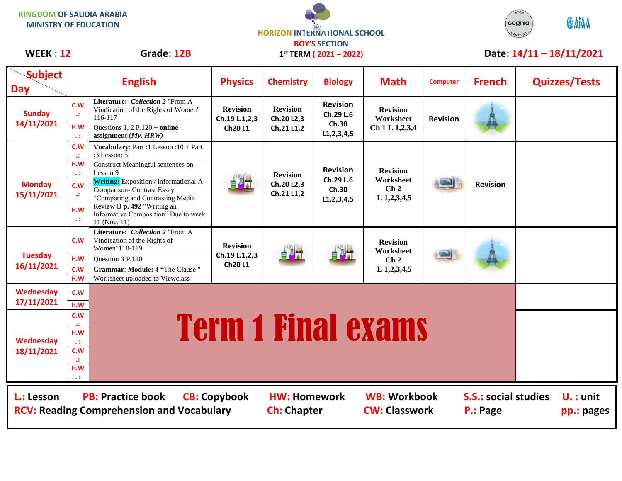**KINGDOM OF SAUDIA ARABIA MINISTRY OF EDUCATION**





| <b>WEEK: 12</b>              |                     | Grade: 12B                                                                                                            |                                                   |                                             | $1^{st}$ TERM ( $2021 - 2022$ )                         |                                                                   |                 |                                         |  | Date: $14/11 - 18/11/2021$ |  |  |  |
|------------------------------|---------------------|-----------------------------------------------------------------------------------------------------------------------|---------------------------------------------------|---------------------------------------------|---------------------------------------------------------|-------------------------------------------------------------------|-----------------|-----------------------------------------|--|----------------------------|--|--|--|
| <b>Subject</b><br><b>Day</b> |                     | <b>English</b>                                                                                                        | <b>Physics</b>                                    | <b>Chemistry</b>                            | <b>Biology</b>                                          | <b>Math</b>                                                       | <b>Computer</b> | <b>French</b>                           |  | <b>Quizzes/Tests</b>       |  |  |  |
| <b>Sunday</b><br>14/11/2021  | c.w<br>$\mathbf{H}$ | Literature: Collection 2 "From A<br>Vindication of the Rights of Women"<br>116-117                                    | <b>Revision</b><br>Ch.19 L.1,2,3                  | <b>Revision</b><br>Ch.20 L2,3               | <b>Revision</b><br>Ch.29 L.6<br>Ch.30                   | <b>Revision</b><br>Worksheet                                      | <b>Revision</b> |                                         |  |                            |  |  |  |
|                              | H.W                 | Questions 1, 2 P.120 + online<br>assignment $(My, HRW)$                                                               | <b>Ch20L1</b>                                     | Ch.21 L1,2                                  | L1, 2, 3, 4, 5                                          | Ch 1 L 1,2,3,4                                                    |                 |                                         |  |                            |  |  |  |
| <b>Monday</b><br>15/11/2021  | C.W<br><b>A</b>     | Vocabulary: Part :1 Lesson : $10 + Part$<br>:3 Lesson: 5                                                              |                                                   | <b>Revision</b><br>Ch.20 L2,3<br>Ch.21 L1,2 | <b>Revision</b><br>Ch.29 L.6<br>Ch.30<br>L1, 2, 3, 4, 5 | <b>Revision</b><br>Worksheet<br>Ch <sub>2</sub><br>$L$ 1,2,3,4,5  |                 | <b>Revision</b>                         |  |                            |  |  |  |
|                              | H.W<br>$\ddotsc$    | Construct Meaningful sentences on<br>Lesson 9                                                                         |                                                   |                                             |                                                         |                                                                   |                 |                                         |  |                            |  |  |  |
|                              | c.w                 | <b>Writing:</b> Exposition / informational A<br><b>Comparison- Contrast Essay</b><br>"Comparing and Contrasting Media |                                                   |                                             |                                                         |                                                                   |                 |                                         |  |                            |  |  |  |
|                              | H.W<br>$\ddotsc$    | Review B p. 492 "Writing an<br>Informative Composition" Due to week<br>11 (Nov. 11)                                   |                                                   |                                             |                                                         |                                                                   |                 |                                         |  |                            |  |  |  |
| <b>Tuesday</b><br>16/11/2021 | C.W                 | Literature: Collection 2 "From A<br>Vindication of the Rights of<br>Women"118-119                                     | <b>Revision</b><br>Ch.19 L.1,2,3<br><b>Ch20L1</b> | 自制社                                         |                                                         | <b>Revision</b><br>Worksheet<br>$\mathbf{Ch}\,2$<br>$L$ 1,2,3,4,5 |                 |                                         |  |                            |  |  |  |
|                              | H.W<br>C.W          | Question 3 P.120<br>Grammar: Module: 4 "The Clause"                                                                   |                                                   |                                             |                                                         |                                                                   |                 |                                         |  |                            |  |  |  |
|                              | H.W                 | Worksheet uploaded to Viewclass                                                                                       |                                                   |                                             |                                                         |                                                                   |                 |                                         |  |                            |  |  |  |
| <b>Wednesday</b>             | C.W                 |                                                                                                                       |                                                   |                                             |                                                         |                                                                   |                 |                                         |  |                            |  |  |  |
| 17/11/2021                   | H.W<br>c.w          |                                                                                                                       |                                                   |                                             |                                                         |                                                                   |                 |                                         |  |                            |  |  |  |
|                              | w                   |                                                                                                                       |                                                   |                                             |                                                         |                                                                   |                 |                                         |  |                            |  |  |  |
| Wednesday<br>18/11/2021      | H.W<br>$\ddotsc$    | <b>Term 1 Final exams</b>                                                                                             |                                                   |                                             |                                                         |                                                                   |                 |                                         |  |                            |  |  |  |
|                              | C.W                 |                                                                                                                       |                                                   |                                             |                                                         |                                                                   |                 |                                         |  |                            |  |  |  |
|                              | H.W                 |                                                                                                                       |                                                   |                                             |                                                         |                                                                   |                 |                                         |  |                            |  |  |  |
| L.: Lesson                   |                     | <b>PB: Practice book</b><br><b>RCV: Reading Comprehension and Vocabulary</b>                                          | <b>CB: Copybook</b>                               | <b>HW: Homework</b><br><b>Ch: Chapter</b>   |                                                         | <b>WB: Workbook</b><br><b>CW: Classwork</b>                       |                 | <b>S.S.: social studies</b><br>P.: Page |  | $U. :$ unit<br>pp.: pages  |  |  |  |